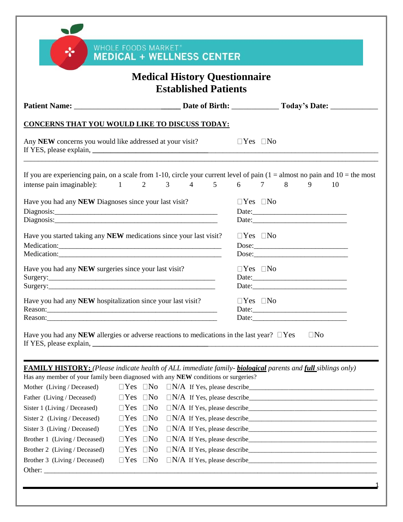|                                                                                                                                                                                                                            |                                                    | <b>Medical History Questionnaire</b><br><b>Established Patients</b> |  |                      |  |                                |    |
|----------------------------------------------------------------------------------------------------------------------------------------------------------------------------------------------------------------------------|----------------------------------------------------|---------------------------------------------------------------------|--|----------------------|--|--------------------------------|----|
|                                                                                                                                                                                                                            |                                                    |                                                                     |  |                      |  |                                |    |
| <b>CONCERNS THAT YOU WOULD LIKE TO DISCUSS TODAY:</b>                                                                                                                                                                      |                                                    |                                                                     |  |                      |  |                                |    |
| Any NEW concerns you would like addressed at your visit?                                                                                                                                                                   |                                                    |                                                                     |  | $\Box$ Yes $\Box$ No |  |                                |    |
| If you are experiencing pain, on a scale from 1-10, circle your current level of pain $(1 =$ almost no pain and $10 =$ the most<br>intense pain imaginable): $1 \t 2 \t 3 \t 4 \t 5 \t 6 \t 7 \t 8$                        |                                                    |                                                                     |  |                      |  | $9 \quad$                      | 10 |
| Have you had any NEW Diagnoses since your last visit?                                                                                                                                                                      |                                                    |                                                                     |  | $\Box$ Yes $\Box$ No |  |                                |    |
| Have you started taking any NEW medications since your last visit?                                                                                                                                                         |                                                    |                                                                     |  | $\Box$ Yes $\Box$ No |  | Dose:<br>Dose:                 |    |
| Have you had any NEW surgeries since your last visit?                                                                                                                                                                      |                                                    |                                                                     |  | $\Box$ Yes $\Box$ No |  |                                |    |
| Have you had any NEW hospitalization since your last visit?<br>Reason:                                                                                                                                                     |                                                    |                                                                     |  | $\Box$ Yes $\Box$ No |  | Date: http://www.factbook.com/ |    |
| Have you had any NEW allergies or adverse reactions to medications in the last year? $\Box$ Yes                                                                                                                            |                                                    |                                                                     |  |                      |  | $\Box$ No                      |    |
| <b>FAMILY HISTORY:</b> (Please indicate health of ALL immediate family- <b>biological</b> parents and full siblings only)                                                                                                  |                                                    |                                                                     |  |                      |  |                                |    |
|                                                                                                                                                                                                                            |                                                    |                                                                     |  |                      |  |                                |    |
|                                                                                                                                                                                                                            | $\Box$ Yes $\Box$ No                               |                                                                     |  |                      |  |                                |    |
| Has any member of your family been diagnosed with any NEW conditions or surgeries?                                                                                                                                         | $\Box$ Yes<br>$\Box$ No                            |                                                                     |  |                      |  |                                |    |
|                                                                                                                                                                                                                            | $\Box$ Yes<br>$\Box$ No                            |                                                                     |  |                      |  |                                |    |
|                                                                                                                                                                                                                            | $\Box$ Yes<br>$\Box$ No                            |                                                                     |  |                      |  |                                |    |
|                                                                                                                                                                                                                            | $\Box$ Yes<br>$\Box$ No                            |                                                                     |  |                      |  |                                |    |
| Mother (Living / Deceased)<br>Father (Living / Deceased)<br>Sister 1 (Living / Deceased)<br>Sister 2 (Living / Deceased)<br>Sister 3 (Living / Deceased)<br>Brother 1 (Living / Deceased)<br>Brother 2 (Living / Deceased) | $\Box$ No<br>$\Box$ Yes<br>$\Box$ Yes<br>$\Box$ No |                                                                     |  |                      |  |                                |    |

Other: \_\_\_\_\_\_\_\_\_\_\_\_\_\_\_\_\_\_\_\_\_\_\_\_\_\_\_\_\_\_\_\_\_\_\_\_\_\_\_\_\_\_\_\_\_\_\_\_\_\_\_\_\_\_\_\_\_\_\_\_\_\_\_\_\_\_\_\_\_\_\_\_\_\_\_\_\_\_\_\_\_\_\_\_\_\_\_\_\_\_\_\_

1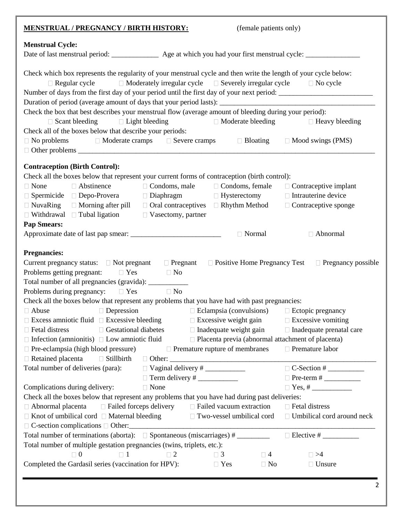| <b>MENSTRUAL / PREGNANCY / BIRTH HISTORY:</b>                                                                                                                                                                                                                                                                                                                                                              |                                                                                   |                                                          | (female patients only) |                                                                                                                         |
|------------------------------------------------------------------------------------------------------------------------------------------------------------------------------------------------------------------------------------------------------------------------------------------------------------------------------------------------------------------------------------------------------------|-----------------------------------------------------------------------------------|----------------------------------------------------------|------------------------|-------------------------------------------------------------------------------------------------------------------------|
| <b>Menstrual Cycle:</b><br>Date of last menstrual period: ________________ Age at which you had your first menstrual cycle: ____________                                                                                                                                                                                                                                                                   |                                                                                   |                                                          |                        |                                                                                                                         |
| Check which box represents the regularity of your menstrual cycle and then write the length of your cycle below:<br>$\Box$ Regular cycle<br>Number of days from the first day of your period until the first day of your next period:<br>Duration of period (average amount of days that your period lasts): ________________________________                                                              | $\Box$ Moderately irregular cycle $\Box$ Severely irregular cycle $\Box$ No cycle |                                                          |                        |                                                                                                                         |
| Check the box that best describes your menstrual flow (average amount of bleeding during your period):<br>$\Box$ Scant bleeding $\Box$ Light bleeding                                                                                                                                                                                                                                                      |                                                                                   | $\Box$ Moderate bleeding                                 |                        | $\Box$ Heavy bleeding                                                                                                   |
| Check all of the boxes below that describe your periods:<br>$\Box$ No problems $\Box$ Moderate cramps $\Box$ Severe cramps $\Box$ Bloating                                                                                                                                                                                                                                                                 |                                                                                   |                                                          |                        | $\Box$ Mood swings (PMS)                                                                                                |
| <b>Contraception (Birth Control):</b>                                                                                                                                                                                                                                                                                                                                                                      |                                                                                   |                                                          |                        |                                                                                                                         |
| Check all the boxes below that represent your current forms of contraception (birth control):<br>□ Abstinence<br>$\Box$ None<br>□ Spermicide □ Depo-Provera □ Diaphragm □ Hysterectomy<br>$\Box$ NuvaRing $\Box$ Morning after pill $\Box$ Oral contraceptives $\Box$ Rhythm Method $\Box$ Contraceptive sponge<br>$\Box$ Withdrawal $\Box$ Tubal ligation $\Box$ Vasectomy, partner<br><b>Pap Smears:</b> | $\Box$ Condoms, male                                                              | $\Box$ Condoms, female                                   |                        | $\Box$ Contraceptive implant<br>$\Box$ Intrauterine device                                                              |
|                                                                                                                                                                                                                                                                                                                                                                                                            |                                                                                   | □ Normal                                                 |                        | □ Abnormal                                                                                                              |
| <b>Pregnancies:</b><br>Current pregnancy status: □ Not pregnant □ Pregnant □ Positive Home Pregnancy Test<br>Problems getting pregnant: $\Box$ Yes $\Box$ No<br>Total number of all pregnancies (gravida): ____________<br>Problems during pregnancy: $\Box$ Yes                                                                                                                                           | $\Box$ No                                                                         |                                                          |                        | $\Box$ Pregnancy possible                                                                                               |
| Check all the boxes below that represent any problems that you have had with past pregnancies:                                                                                                                                                                                                                                                                                                             |                                                                                   |                                                          |                        |                                                                                                                         |
| $\Box$ Abuse<br>$\Box$ Depression<br>$\Box$ Excess amniotic fluid $\Box$ Excessive bleeding<br>$\Box$ Fetal distress<br>$\Box$ Gestational diabetes                                                                                                                                                                                                                                                        |                                                                                   | $\Box$ Excessive weight gain<br>□ Inadequate weight gain |                        | $\Box$ Eclampsia (convulsions) $\Box$ Ectopic pregnancy<br>$\Box$ Excessive vomiting<br>$\Box$ Inadequate prenatal care |
| $\Box$ Infection (amnionitis) $\Box$ Low amniotic fluid<br>$\Box$ Pre-eclampsia (high blood pressure)<br>$\Box$ Retained placenta<br>$\Box$ Stillbirth                                                                                                                                                                                                                                                     |                                                                                   | $\Box$ Premature rupture of membranes                    |                        | $\Box$ Placenta previa (abnormal attachment of placenta)<br>□ Premature labor                                           |
| Total number of deliveries (para):                                                                                                                                                                                                                                                                                                                                                                         |                                                                                   |                                                          |                        | $\Box$ C-Section #                                                                                                      |
| Complications during delivery:                                                                                                                                                                                                                                                                                                                                                                             | $\Box$ None                                                                       |                                                          |                        |                                                                                                                         |
| Check all the boxes below that represent any problems that you have had during past deliveries:                                                                                                                                                                                                                                                                                                            |                                                                                   |                                                          |                        | $\Box$ Fetal distress                                                                                                   |
| $\Box$ Abnormal placenta $\Box$ Failed forceps delivery $\Box$ Failed vacuum extraction<br>$\Box$ Knot of umbilical cord $\Box$ Maternal bleeding<br>$\Box$ C-section complications $\Box$ Other:                                                                                                                                                                                                          |                                                                                   | Two-vessel umbilical cord                                |                        | □ Umbilical cord around neck                                                                                            |
| Total number of terminations (aborta): $\Box$ Spontaneous (miscarriages) #                                                                                                                                                                                                                                                                                                                                 |                                                                                   |                                                          |                        |                                                                                                                         |
| Total number of multiple gestation pregnancies (twins, triplets, etc.):                                                                                                                                                                                                                                                                                                                                    |                                                                                   |                                                          |                        |                                                                                                                         |
| $\Box$ 0<br>$\Box$ 1                                                                                                                                                                                                                                                                                                                                                                                       | $\Box$ 2                                                                          | $\Box$ 3                                                 | $\Box$ 4               | $\Box$ >4                                                                                                               |
| Completed the Gardasil series (vaccination for HPV):                                                                                                                                                                                                                                                                                                                                                       |                                                                                   | $\Box$ Yes                                               | $\Box$ No              | $\Box$ Unsure                                                                                                           |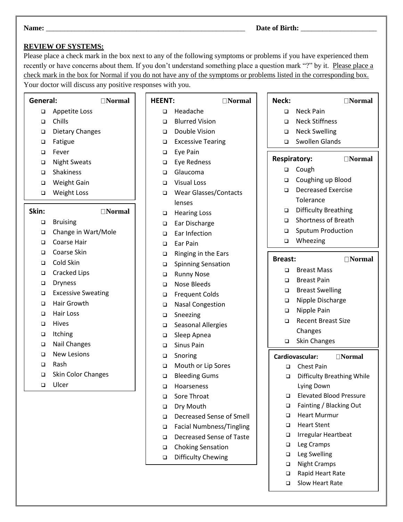### **REVIEW OF SYSTEMS:**

Please place a check mark in the box next to any of the following symptoms or problems if you have experienced them recently or have concerns about them. If you don't understand something place a question mark "?" by it. Please place a check mark in the box for Normal if you do not have any of the symptoms or problems listed in the corresponding box. Your doctor will discuss any positive responses with you.

**HEENT: Normal**

#### **General: Normal**

- ❑ Appetite Loss
- ❑ Chills
- ❑ Dietary Changes
- ❑ Fatigue
- ❑ Fever
- ❑ Night Sweats
- ❑ Shakiness
- ❑ Weight Gain
- ❑ Weight Loss

**Skin: Normal**

- ❑ Bruising
- ❑ Change in Wart/Mole
- ❑ Coarse Hair
- ❑ Coarse Skin
- ❑ Cold Skin
- ❑ Cracked Lips
- ❑ Dryness
- ❑ Excessive Sweating
- ❑ Hair Growth
- ❑ Hair Loss
- ❑ Hives
- ❑ Itching
- ❑ Nail Changes
- ❑ New Lesions
- ❑ Rash
- ❑ Skin Color Changes
- ❑ Ulcer
- ❑ Headache
- ❑ Blurred Vision
- ❑ Double Vision
- ❑ Excessive Tearing
- ❑ Eye Pain
- ❑ Eye Redness
- ❑ Glaucoma
- ❑ Visual Loss
- ❑ Wear Glasses/Contacts lenses
- ❑ Hearing Loss
- ❑ Ear Discharge
- ❑ Ear Infection
- ❑ Ear Pain
- ❑ Ringing in the Ears
- ❑ Spinning Sensation
- ❑ Runny Nose
- ❑ Nose Bleeds
- ❑ Frequent Colds
- ❑ Nasal Congestion
- ❑ Sneezing
- ❑ Seasonal Allergies
- ❑ Sleep Apnea
- ❑ Sinus Pain
- ❑ Snoring
- ❑ Mouth or Lip Sores
- ❑ Bleeding Gums
- ❑ Hoarseness
- ❑ Sore Throat
- ❑ Dry Mouth
- ❑ Decreased Sense of Smell
- ❑ Facial Numbness/Tingling
- ❑ Decreased Sense of Taste
- ❑ Choking Sensation
- ❑ Difficulty Chewing

| Neck:               |                                     | $\Box$ Normal   |
|---------------------|-------------------------------------|-----------------|
| □                   | <b>Neck Pain</b>                    |                 |
| $\Box$              | <b>Neck Stiffness</b>               |                 |
| $\Box$              | <b>Neck Swelling</b>                |                 |
| ◻                   | <b>Swollen Glands</b>               |                 |
| <b>Respiratory:</b> |                                     | $\sqcap$ Normal |
| ◻                   | Cough                               |                 |
| ◻                   | Coughing up Blood                   |                 |
| □                   | <b>Decreased Exercise</b>           |                 |
|                     | Tolerance                           |                 |
| $\Box$              | <b>Difficulty Breathing</b>         |                 |
| Q.                  | <b>Shortness of Breath</b>          |                 |
| $\Box$              | <b>Sputum Production</b>            |                 |
| □                   | Wheezing                            |                 |
| Breast:             |                                     | $\Box$ Normal   |
| ◻                   | <b>Breast Mass</b>                  |                 |
| $\Box$              | <b>Breast Pain</b>                  |                 |
| $\Box$              | <b>Breast Swelling</b>              |                 |
| Q.                  | Nipple Discharge                    |                 |
| $\Box$              | Nipple Pain                         |                 |
| □                   | <b>Recent Breast Size</b>           |                 |
|                     | Changes                             |                 |
| □                   | <b>Skin Changes</b>                 |                 |
|                     | Cardiovascular:                     | $\Box$ Normal   |
| □                   | <b>Chest Pain</b>                   |                 |
| ◻                   | <b>Difficulty Breathing While</b>   |                 |
|                     | Lying Down                          |                 |
| □                   | <b>Elevated Blood Pressure</b>      |                 |
| □                   | Fainting / Blacking Out             |                 |
| ◻                   | <b>Heart Murmur</b>                 |                 |
| □                   | <b>Heart Stent</b>                  |                 |
| $\Box$              | Irregular Heartbeat                 |                 |
| □                   | Leg Cramps                          |                 |
| □<br>□              | Leg Swelling<br><b>Night Cramps</b> |                 |
|                     |                                     |                 |

- ❑ Rapid Heart Rate
- ❑ Slow Heart Rate

3

**Name:** \_\_\_\_\_\_\_\_\_\_\_\_\_\_\_\_\_\_\_\_\_\_\_\_\_\_\_\_\_\_\_\_\_\_\_\_\_\_\_\_\_\_\_\_\_\_\_\_\_\_\_\_\_\_\_ **Date of Birth:** \_\_\_\_\_\_\_\_\_\_\_\_\_\_\_\_\_\_\_\_\_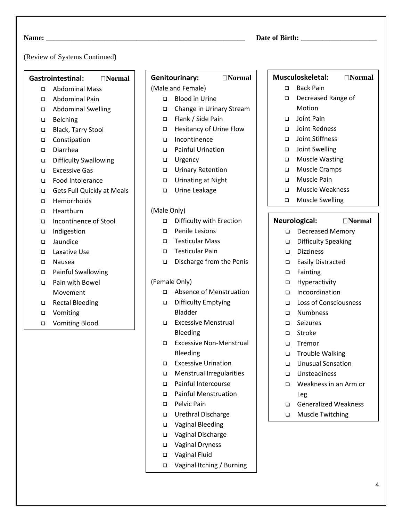#### (Review of Systems Continued)

#### **Gastrointestinal: Normal**

- ❑ Abdominal Mass
- ❑ Abdominal Pain
- ❑ Abdominal Swelling
- ❑ Belching
- ❑ Black, Tarry Stool
- ❑ Constipation
- ❑ Diarrhea
- ❑ Difficulty Swallowing
- ❑ Excessive Gas
- ❑ Food Intolerance
- ❑ Gets Full Quickly at Meals
- ❑ Hemorrhoids
- ❑ Heartburn
- ❑ Incontinence of Stool
- ❑ Indigestion
- ❑ Jaundice
- ❑ Laxative Use
- ❑ Nausea
- ❑ Painful Swallowing
- ❑ Pain with Bowel Movement
- ❑ Rectal Bleeding
- ❑ Vomiting
- ❑ Vomiting Blood

# Genitourinary: **Normal**

## (Male and Female)

- ❑ Blood in Urine
- ❑ Change in Urinary Stream
- ❑ Flank / Side Pain
- ❑ Hesitancy of Urine Flow
- ❑ Incontinence
- ❑ Painful Urination
- ❑ Urgency
- ❑ Urinary Retention
- ❑ Urinating at Night
- ❑ Urine Leakage

#### (Male Only)

- ❑ Difficulty with Erection
- ❑ Penile Lesions
- ❑ Testicular Mass
- ❑ Testicular Pain
- ❑ Discharge from the Penis

#### (Female Only)

- ❑ Absence of Menstruation
- ❑ Difficulty Emptying Bladder
- ❑ Excessive Menstrual Bleeding
- ❑ Excessive Non-Menstrual Bleeding
- ❑ Excessive Urination
- ❑ Menstrual Irregularities
- ❑ Painful Intercourse
- ❑ Painful Menstruation
- ❑ Pelvic Pain
- ❑ Urethral Discharge
- ❑ Vaginal Bleeding
- ❑ Vaginal Discharge
- ❑ Vaginal Dryness
- ❑ Vaginal Fluid
- ❑ Vaginal Itching / Burning

## **Musculoskeletal: Normal**

- ❑ Back Pain
- ❑ Decreased Range of Motion
- ❑ Joint Pain
- ❑ Joint Redness
- ❑ Joint Stiffness
- ❑ Joint Swelling
- ❑ Muscle Wasting
- ❑ Muscle Cramps
- ❑ Muscle Pain
- ❑ Muscle Weakness
- ❑ Muscle Swelling

#### **Neurological: Normal**

- ❑ Decreased Memory
- ❑ Difficulty Speaking
- ❑ Dizziness
- ❑ Easily Distracted
- ❑ Fainting
- ❑ Hyperactivity
- ❑ Incoordination
- ❑ Loss of Consciousness
- ❑ Numbness
- ❑ Seizures
- ❑ Stroke
- ❑ Tremor
- ❑ Trouble Walking
- ❑ Unusual Sensation
- ❑ Unsteadiness
- ❑ Weakness in an Arm or Leg
- ❑ Generalized Weakness
- ❑ Muscle Twitching

## **Name:** \_\_\_\_\_\_\_\_\_\_\_\_\_\_\_\_\_\_\_\_\_\_\_\_\_\_\_\_\_\_\_\_\_\_\_\_\_\_\_\_\_\_\_\_\_\_\_\_\_\_\_\_\_\_\_ **Date of Birth:** \_\_\_\_\_\_\_\_\_\_\_\_\_\_\_\_\_\_\_\_\_